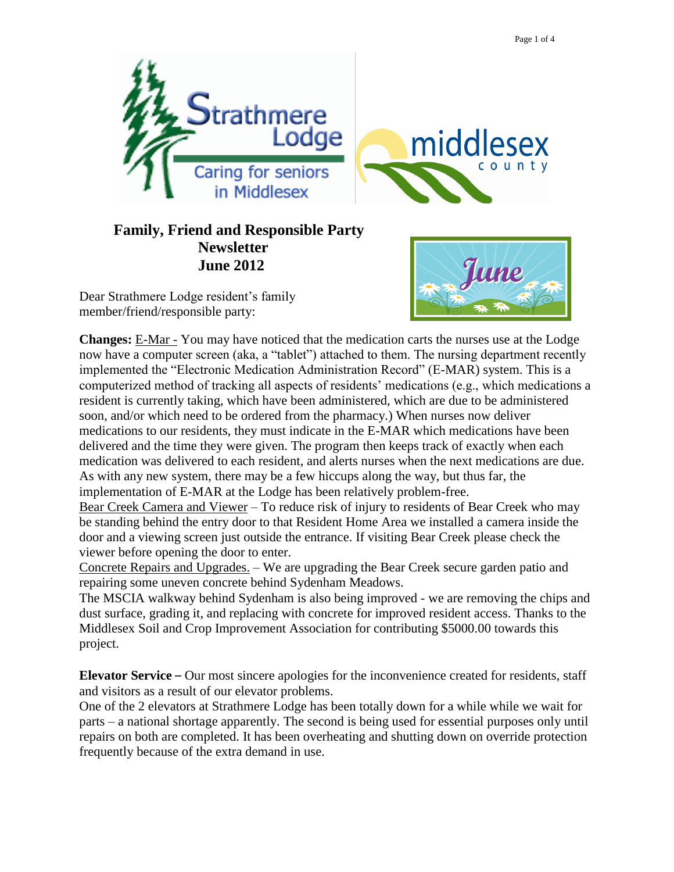

## **Family, Friend and Responsible Party Newsletter June 2012**

Dear Strathmere Lodge resident's family member/friend/responsible party:



**Changes:** E-Mar - You may have noticed that the medication carts the nurses use at the Lodge now have a computer screen (aka, a "tablet") attached to them. The nursing department recently implemented the "Electronic Medication Administration Record" (E-MAR) system. This is a computerized method of tracking all aspects of residents' medications (e.g., which medications a resident is currently taking, which have been administered, which are due to be administered soon, and/or which need to be ordered from the pharmacy.) When nurses now deliver medications to our residents, they must indicate in the E-MAR which medications have been delivered and the time they were given. The program then keeps track of exactly when each medication was delivered to each resident, and alerts nurses when the next medications are due. As with any new system, there may be a few hiccups along the way, but thus far, the implementation of E-MAR at the Lodge has been relatively problem-free.

Bear Creek Camera and Viewer – To reduce risk of injury to residents of Bear Creek who may be standing behind the entry door to that Resident Home Area we installed a camera inside the door and a viewing screen just outside the entrance. If visiting Bear Creek please check the viewer before opening the door to enter.

Concrete Repairs and Upgrades. – We are upgrading the Bear Creek secure garden patio and repairing some uneven concrete behind Sydenham Meadows.

The MSCIA walkway behind Sydenham is also being improved - we are removing the chips and dust surface, grading it, and replacing with concrete for improved resident access. Thanks to the Middlesex Soil and Crop Improvement Association for contributing \$5000.00 towards this project.

**Elevator Service** – Our most sincere apologies for the inconvenience created for residents, staff and visitors as a result of our elevator problems.

One of the 2 elevators at Strathmere Lodge has been totally down for a while while we wait for parts – a national shortage apparently. The second is being used for essential purposes only until repairs on both are completed. It has been overheating and shutting down on override protection frequently because of the extra demand in use.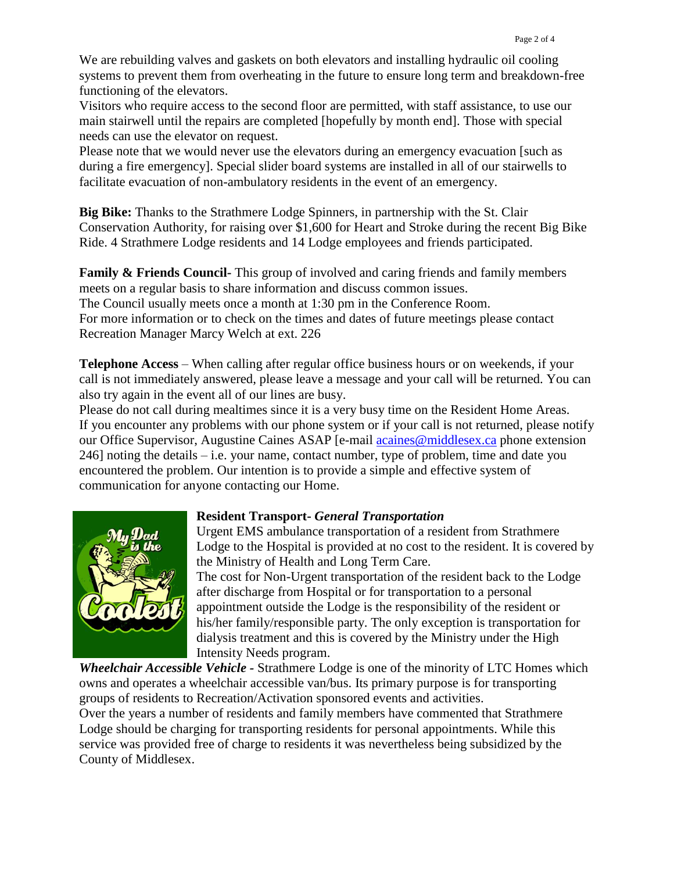We are rebuilding valves and gaskets on both elevators and installing hydraulic oil cooling systems to prevent them from overheating in the future to ensure long term and breakdown-free functioning of the elevators.

Visitors who require access to the second floor are permitted, with staff assistance, to use our main stairwell until the repairs are completed [hopefully by month end]. Those with special needs can use the elevator on request.

Please note that we would never use the elevators during an emergency evacuation [such as during a fire emergency]. Special slider board systems are installed in all of our stairwells to facilitate evacuation of non-ambulatory residents in the event of an emergency.

**Big Bike:** Thanks to the Strathmere Lodge Spinners, in partnership with the St. Clair Conservation Authority, for raising over \$1,600 for Heart and Stroke during the recent Big Bike Ride. 4 Strathmere Lodge residents and 14 Lodge employees and friends participated.

**Family & Friends Council-** This group of involved and caring friends and family members meets on a regular basis to share information and discuss common issues. The Council usually meets once a month at 1:30 pm in the Conference Room. For more information or to check on the times and dates of future meetings please contact Recreation Manager Marcy Welch at ext. 226

**Telephone Access** – When calling after regular office business hours or on weekends, if your call is not immediately answered, please leave a message and your call will be returned. You can also try again in the event all of our lines are busy.

Please do not call during mealtimes since it is a very busy time on the Resident Home Areas. If you encounter any problems with our phone system or if your call is not returned, please notify our Office Supervisor, Augustine Caines ASAP [e-mail [acaines@middlesex.ca](mailto:acaines@middlesex.ca) phone extension  $246$ ] noting the details – i.e. your name, contact number, type of problem, time and date you encountered the problem. Our intention is to provide a simple and effective system of communication for anyone contacting our Home.



## **Resident Transport-** *General Transportation*

Urgent EMS ambulance transportation of a resident from Strathmere Lodge to the Hospital is provided at no cost to the resident. It is covered by the Ministry of Health and Long Term Care.

The cost for Non-Urgent transportation of the resident back to the Lodge after discharge from Hospital or for transportation to a personal appointment outside the Lodge is the responsibility of the resident or his/her family/responsible party. The only exception is transportation for dialysis treatment and this is covered by the Ministry under the High Intensity Needs program.

*Wheelchair Accessible Vehicle -* Strathmere Lodge is one of the minority of LTC Homes which owns and operates a wheelchair accessible van/bus. Its primary purpose is for transporting groups of residents to Recreation/Activation sponsored events and activities. Over the years a number of residents and family members have commented that Strathmere Lodge should be charging for transporting residents for personal appointments. While this service was provided free of charge to residents it was nevertheless being subsidized by the County of Middlesex.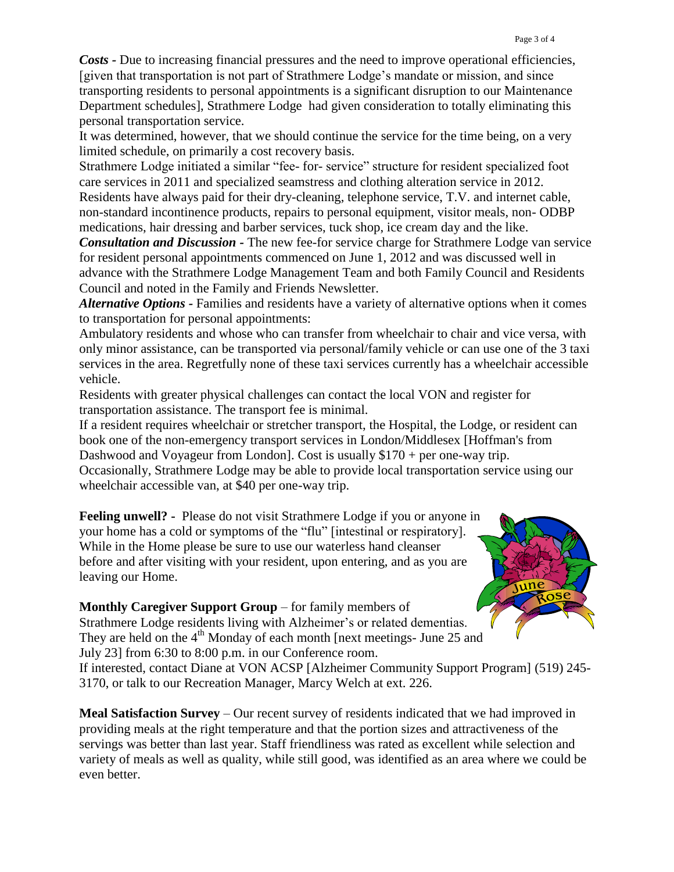*Costs -* Due to increasing financial pressures and the need to improve operational efficiencies, [given that transportation is not part of Strathmere Lodge's mandate or mission, and since transporting residents to personal appointments is a significant disruption to our Maintenance Department schedules], Strathmere Lodge had given consideration to totally eliminating this personal transportation service.

It was determined, however, that we should continue the service for the time being, on a very limited schedule, on primarily a cost recovery basis.

Strathmere Lodge initiated a similar "fee- for- service" structure for resident specialized foot care services in 2011 and specialized seamstress and clothing alteration service in 2012.

Residents have always paid for their dry-cleaning, telephone service, T.V. and internet cable, non-standard incontinence products, repairs to personal equipment, visitor meals, non- ODBP medications, hair dressing and barber services, tuck shop, ice cream day and the like.

*Consultation and Discussion -* The new fee-for service charge for Strathmere Lodge van service for resident personal appointments commenced on June 1, 2012 and was discussed well in advance with the Strathmere Lodge Management Team and both Family Council and Residents Council and noted in the Family and Friends Newsletter.

*Alternative Options -* Families and residents have a variety of alternative options when it comes to transportation for personal appointments:

Ambulatory residents and whose who can transfer from wheelchair to chair and vice versa, with only minor assistance, can be transported via personal/family vehicle or can use one of the 3 taxi services in the area. Regretfully none of these taxi services currently has a wheelchair accessible vehicle.

Residents with greater physical challenges can contact the local VON and register for transportation assistance. The transport fee is minimal.

If a resident requires wheelchair or stretcher transport, the Hospital, the Lodge, or resident can book one of the non-emergency transport services in London/Middlesex [Hoffman's from Dashwood and Voyageur from London]. Cost is usually \$170 + per one-way trip.

Occasionally, Strathmere Lodge may be able to provide local transportation service using our wheelchair accessible van, at \$40 per one-way trip.

**Feeling unwell? -** Please do not visit Strathmere Lodge if you or anyone in your home has a cold or symptoms of the "flu" [intestinal or respiratory]. While in the Home please be sure to use our waterless hand cleanser before and after visiting with your resident, upon entering, and as you are leaving our Home.



**Monthly Caregiver Support Group** – for family members of Strathmere Lodge residents living with Alzheimer's or related dementias. They are held on the  $4<sup>th</sup>$  Monday of each month [next meetings- June 25 and July 23] from 6:30 to 8:00 p.m. in our Conference room.

If interested, contact Diane at VON ACSP [Alzheimer Community Support Program] (519) 245- 3170, or talk to our Recreation Manager, Marcy Welch at ext. 226.

**Meal Satisfaction Survey** – Our recent survey of residents indicated that we had improved in providing meals at the right temperature and that the portion sizes and attractiveness of the servings was better than last year. Staff friendliness was rated as excellent while selection and variety of meals as well as quality, while still good, was identified as an area where we could be even better.